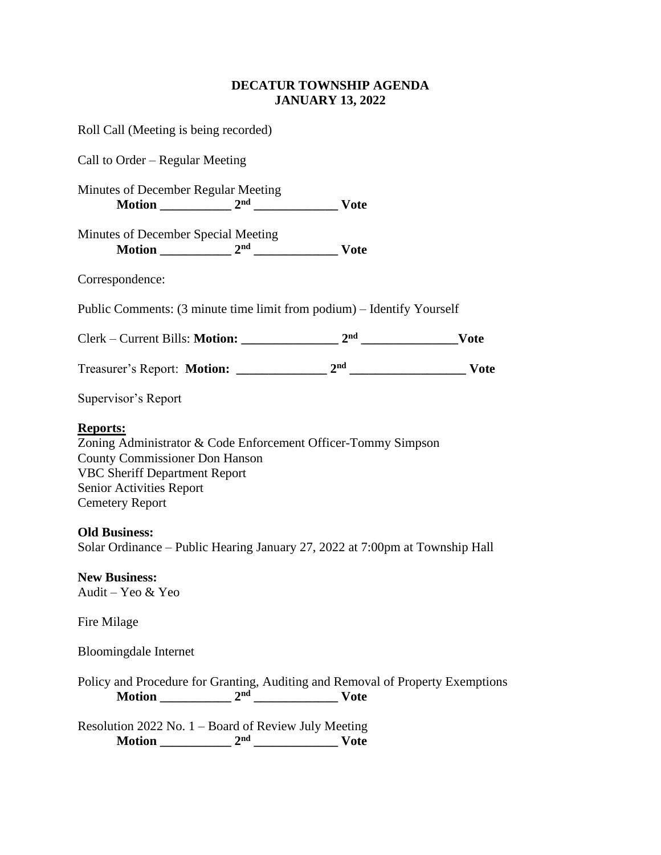## **DECATUR TOWNSHIP AGENDA JANUARY 13, 2022**

| Roll Call (Meeting is being recorded)                                                                                                                                                                                          |                 |             |  |
|--------------------------------------------------------------------------------------------------------------------------------------------------------------------------------------------------------------------------------|-----------------|-------------|--|
| Call to Order – Regular Meeting                                                                                                                                                                                                |                 |             |  |
| <b>Minutes of December Regular Meeting</b>                                                                                                                                                                                     |                 |             |  |
| Minutes of December Special Meeting                                                                                                                                                                                            |                 |             |  |
| Correspondence:                                                                                                                                                                                                                |                 |             |  |
| Public Comments: (3 minute time limit from podium) – Identify Yourself                                                                                                                                                         |                 |             |  |
|                                                                                                                                                                                                                                |                 |             |  |
|                                                                                                                                                                                                                                |                 |             |  |
| Supervisor's Report                                                                                                                                                                                                            |                 |             |  |
| <b>Reports:</b><br>Zoning Administrator & Code Enforcement Officer-Tommy Simpson<br><b>County Commissioner Don Hanson</b><br><b>VBC Sheriff Department Report</b><br><b>Senior Activities Report</b><br><b>Cemetery Report</b> |                 |             |  |
| <b>Old Business:</b><br>Solar Ordinance - Public Hearing January 27, 2022 at 7:00pm at Township Hall                                                                                                                           |                 |             |  |
| <b>New Business:</b><br>Audit – Yeo & Yeo                                                                                                                                                                                      |                 |             |  |
| Fire Milage                                                                                                                                                                                                                    |                 |             |  |
| <b>Bloomingdale Internet</b>                                                                                                                                                                                                   |                 |             |  |
| Policy and Procedure for Granting, Auditing and Removal of Property Exemptions                                                                                                                                                 |                 |             |  |
| Resolution 2022 No. 1 - Board of Review July Meeting<br>Motion                                                                                                                                                                 | 2 <sub>nd</sub> | <b>Vote</b> |  |